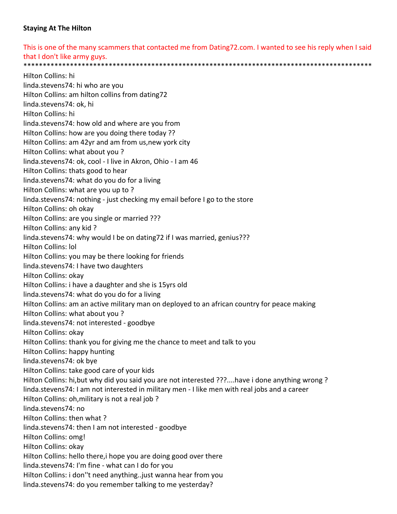## **Staying At The Hilton**

This is one of the many scammers that contacted me from Dating72.com. I wanted to see his reply when I said that I don't like army guys. \*\*\*\*\*\*\*\*\*\*\*\*\*\*\*\*\*\*\*\*\*\*\*\*\*\*\*\*\*\*\*\*\*\*\*\*\*\*\*\*\*\*\*\*\*\*\*\*\*\*\*\*\*\*\*\*\*\*\*\*\*\*\*\*\*\*\*\*\*\*\*\*\*\*\*\*\*\*\*\*\*\*\*\*\*\*\*\*\*\*

Hilton Collins: hi linda.stevens74: hi who are you Hilton Collins: am hilton collins from dating72 linda.stevens74: ok, hi Hilton Collins: hi linda.stevens74: how old and where are you from Hilton Collins: how are you doing there today ?? Hilton Collins: am 42yr and am from us,new york city Hilton Collins: what about you ? linda.stevens74: ok, cool ‐ I live in Akron, Ohio ‐ I am 46 Hilton Collins: thats good to hear linda.stevens74: what do you do for a living Hilton Collins: what are you up to ? linda.stevens74: nothing ‐ just checking my email before I go to the store Hilton Collins: oh okay Hilton Collins: are you single or married ??? Hilton Collins: any kid ? linda.stevens74: why would I be on dating72 if I was married, genius??? Hilton Collins: lol Hilton Collins: you may be there looking for friends linda.stevens74: I have two daughters Hilton Collins: okay Hilton Collins: i have a daughter and she is 15yrs old linda.stevens74: what do you do for a living Hilton Collins: am an active military man on deployed to an african country for peace making Hilton Collins: what about you ? linda.stevens74: not interested ‐ goodbye Hilton Collins: okay Hilton Collins: thank you for giving me the chance to meet and talk to you Hilton Collins: happy hunting linda.stevens74: ok bye Hilton Collins: take good care of your kids Hilton Collins: hi,but why did you said you are not interested ???....have i done anything wrong ? linda.stevens74: I am not interested in military men ‐ I like men with real jobs and a career Hilton Collins: oh,military is not a real job ? linda.stevens74: no Hilton Collins: then what ? linda.stevens74: then I am not interested ‐ goodbye Hilton Collins: omg! Hilton Collins: okay Hilton Collins: hello there,i hope you are doing good over there linda.stevens74: I'm fine ‐ what can I do for you Hilton Collins: i don''t need anything..just wanna hear from you linda.stevens74: do you remember talking to me yesterday?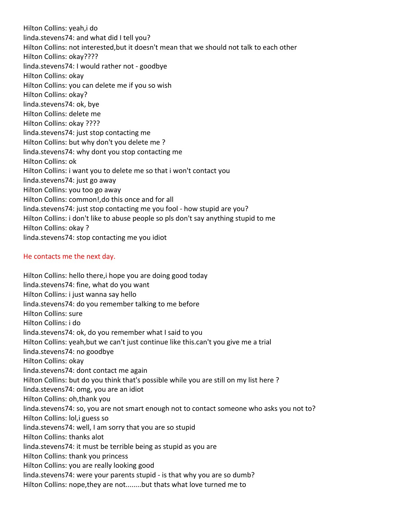Hilton Collins: yeah,i do linda.stevens74: and what did I tell you? Hilton Collins: not interested,but it doesn't mean that we should not talk to each other Hilton Collins: okay???? linda.stevens74: I would rather not ‐ goodbye Hilton Collins: okay Hilton Collins: you can delete me if you so wish Hilton Collins: okay? linda.stevens74: ok, bye Hilton Collins: delete me Hilton Collins: okay ???? linda.stevens74: just stop contacting me Hilton Collins: but why don't you delete me ? linda.stevens74: why dont you stop contacting me Hilton Collins: ok Hilton Collins: i want you to delete me so that i won't contact you linda.stevens74: just go away Hilton Collins: you too go away Hilton Collins: common!,do this once and for all linda.stevens74: just stop contacting me you fool ‐ how stupid are you? Hilton Collins: i don't like to abuse people so pls don't say anything stupid to me Hilton Collins: okay ? linda.stevens74: stop contacting me you idiot

## He contacts me the next day.

Hilton Collins: hello there,i hope you are doing good today linda.stevens74: fine, what do you want Hilton Collins: i just wanna say hello linda.stevens74: do you remember talking to me before Hilton Collins: sure Hilton Collins: i do linda.stevens74: ok, do you remember what I said to you Hilton Collins: yeah,but we can't just continue like this.can't you give me a trial linda.stevens74: no goodbye Hilton Collins: okay linda.stevens74: dont contact me again Hilton Collins: but do you think that's possible while you are still on my list here ? linda.stevens74: omg, you are an idiot Hilton Collins: oh,thank you linda.stevens74: so, you are not smart enough not to contact someone who asks you not to? Hilton Collins: lol,i guess so linda.stevens74: well, I am sorry that you are so stupid Hilton Collins: thanks alot linda.stevens74: it must be terrible being as stupid as you are Hilton Collins: thank you princess Hilton Collins: you are really looking good linda.stevens74: were your parents stupid ‐ is that why you are so dumb? Hilton Collins: nope,they are not........but thats what love turned me to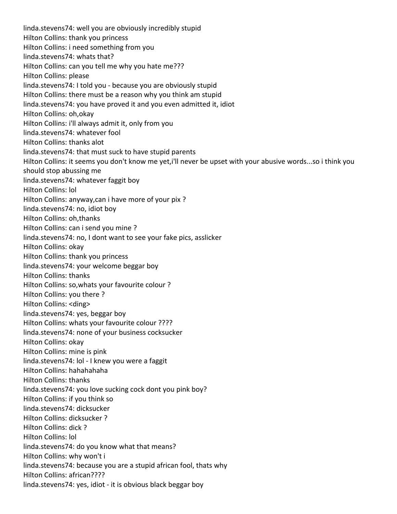linda.stevens74: well you are obviously incredibly stupid Hilton Collins: thank you princess Hilton Collins: i need something from you linda.stevens74: whats that? Hilton Collins: can you tell me why you hate me??? Hilton Collins: please linda.stevens74: I told you ‐ because you are obviously stupid Hilton Collins: there must be a reason why you think am stupid linda.stevens74: you have proved it and you even admitted it, idiot Hilton Collins: oh,okay Hilton Collins: i'll always admit it, only from you linda.stevens74: whatever fool Hilton Collins: thanks alot linda.stevens74: that must suck to have stupid parents Hilton Collins: it seems you don't know me yet,i'll never be upset with your abusive words...so i think you should stop abussing me linda.stevens74: whatever faggit boy Hilton Collins: lol Hilton Collins: anyway,can i have more of your pix ? linda.stevens74: no, idiot boy Hilton Collins: oh,thanks Hilton Collins: can i send you mine ? linda.stevens74: no, I dont want to see your fake pics, asslicker Hilton Collins: okay Hilton Collins: thank you princess linda.stevens74: your welcome beggar boy Hilton Collins: thanks Hilton Collins: so,whats your favourite colour ? Hilton Collins: you there ? Hilton Collins: <ding> linda.stevens74: yes, beggar boy Hilton Collins: whats your favourite colour ???? linda.stevens74: none of your business cocksucker Hilton Collins: okay Hilton Collins: mine is pink linda.stevens74: lol ‐ I knew you were a faggit Hilton Collins: hahahahaha Hilton Collins: thanks linda.stevens74: you love sucking cock dont you pink boy? Hilton Collins: if you think so linda.stevens74: dicksucker Hilton Collins: dicksucker ? Hilton Collins: dick ? Hilton Collins: lol linda.stevens74: do you know what that means? Hilton Collins: why won't i linda.stevens74: because you are a stupid african fool, thats why Hilton Collins: african???? linda.stevens74: yes, idiot ‐ it is obvious black beggar boy